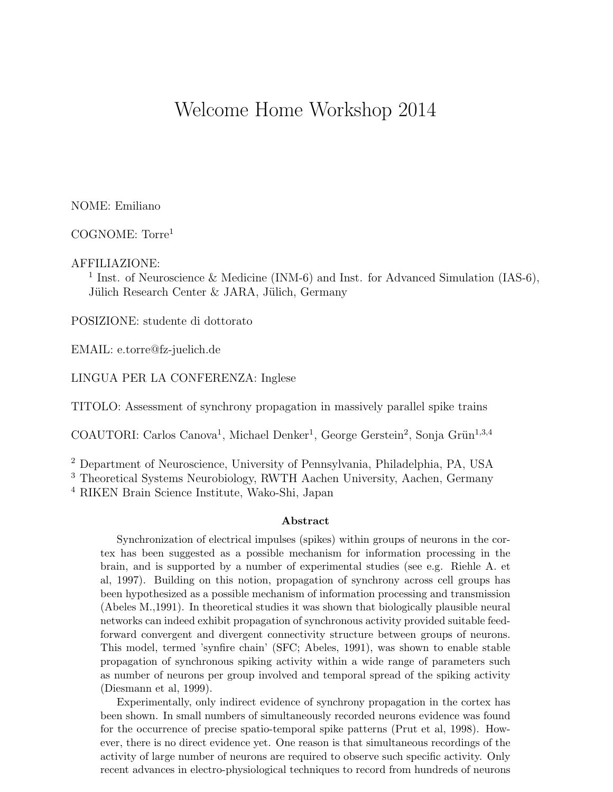## Welcome Home Workshop 2014

NOME: Emiliano

COGNOME: Torre<sup>1</sup>

AFFILIAZIONE:

<sup>1</sup> Inst. of Neuroscience & Medicine (INM-6) and Inst. for Advanced Simulation (IAS-6), Jülich Research Center & JARA, Jülich, Germany

POSIZIONE: studente di dottorato

EMAIL: e.torre@fz-juelich.de

LINGUA PER LA CONFERENZA: Inglese

TITOLO: Assessment of synchrony propagation in massively parallel spike trains

COAUTORI: Carlos Canova<sup>1</sup>, Michael Denker<sup>1</sup>, George Gerstein<sup>2</sup>, Sonja Grün<sup>1,3,4</sup>

<sup>2</sup> Department of Neuroscience, University of Pennsylvania, Philadelphia, PA, USA

<sup>3</sup> Theoretical Systems Neurobiology, RWTH Aachen University, Aachen, Germany <sup>4</sup> RIKEN Brain Science Institute, Wako-Shi, Japan

## Abstract

Synchronization of electrical impulses (spikes) within groups of neurons in the cortex has been suggested as a possible mechanism for information processing in the brain, and is supported by a number of experimental studies (see e.g. Riehle A. et al, 1997). Building on this notion, propagation of synchrony across cell groups has been hypothesized as a possible mechanism of information processing and transmission (Abeles M.,1991). In theoretical studies it was shown that biologically plausible neural networks can indeed exhibit propagation of synchronous activity provided suitable feedforward convergent and divergent connectivity structure between groups of neurons. This model, termed 'synfire chain' (SFC; Abeles, 1991), was shown to enable stable propagation of synchronous spiking activity within a wide range of parameters such as number of neurons per group involved and temporal spread of the spiking activity (Diesmann et al, 1999).

Experimentally, only indirect evidence of synchrony propagation in the cortex has been shown. In small numbers of simultaneously recorded neurons evidence was found for the occurrence of precise spatio-temporal spike patterns (Prut et al, 1998). However, there is no direct evidence yet. One reason is that simultaneous recordings of the activity of large number of neurons are required to observe such specific activity. Only recent advances in electro-physiological techniques to record from hundreds of neurons